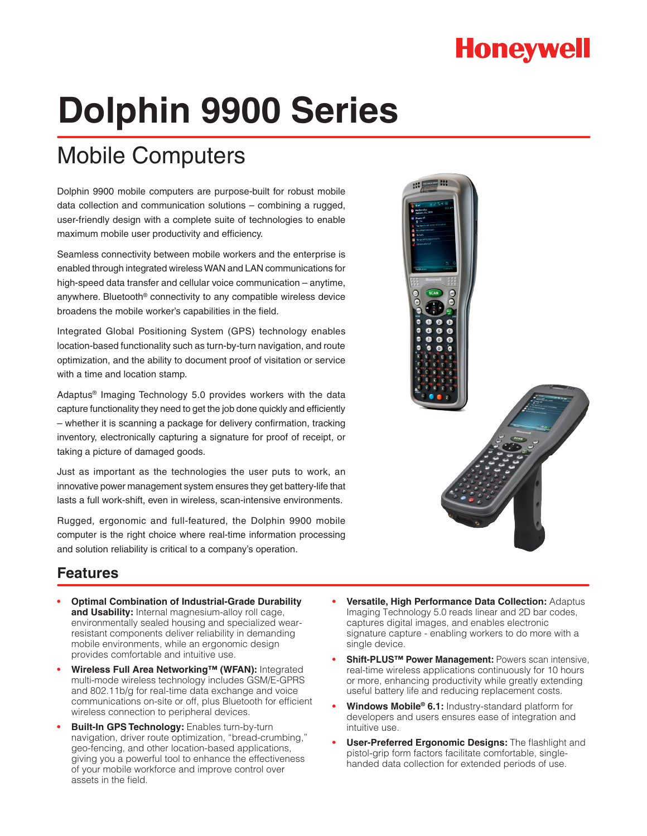# **Honeywell**

# **Dolphin 9900 Series**

## Mobile Computers

Dolphin 9900 mobile computers are purpose-built for robust mobile data collection and communication solutions – combining a rugged, user-friendly design with a complete suite of technologies to enable maximum mobile user productivity and efficiency.

Seamless connectivity between mobile workers and the enterprise is enabled through integrated wireless WAN and LAN communications for high-speed data transfer and cellular voice communication – anytime, anywhere. Bluetooth® connectivity to any compatible wireless device broadens the mobile worker's capabilities in the field.

Integrated Global Positioning System (GPS) technology enables location-based functionality such as turn-by-turn navigation, and route optimization, and the ability to document proof of visitation or service with a time and location stamp.

Adaptus® Imaging Technology 5.0 provides workers with the data capture functionality they need to get the job done quickly and efficiently – whether it is scanning a package for delivery confirmation, tracking inventory, electronically capturing a signature for proof of receipt, or taking a picture of damaged goods.

Just as important as the technologies the user puts to work, an innovative power management system ensures they get battery-life that lasts a full work-shift, even in wireless, scan-intensive environments.

Rugged, ergonomic and full-featured, the Dolphin 9900 mobile computer is the right choice where real-time information processing and solution reliability is critical to a company's operation.



## **Features**

- **Optimal Combination of Industrial-Grade Durability and Usability:** Internal magnesium-alloy roll cage, environmentally sealed housing and specialized wearresistant components deliver reliability in demanding mobile environments, while an ergonomic design provides comfortable and intuitive use.
- **• Wireless Full Area Networking™ (WFAN):** Integrated multi-mode wireless technology includes GSM/E-GPRS and 802.11b/g for real-time data exchange and voice communications on-site or off, plus Bluetooth for efficient wireless connection to peripheral devices.
- **Built-In GPS Technology: Enables turn-by-turn** navigation, driver route optimization, "bread-crumbing," geo-fencing, and other location-based applications, giving you a powerful tool to enhance the effectiveness of your mobile workforce and improve control over assets in the field.
- **Versatile, High Performance Data Collection: Adaptus** Imaging Technology 5.0 reads linear and 2D bar codes, captures digital images, and enables electronic signature capture - enabling workers to do more with a single device.
- **Shift-PLUS™ Power Management: Powers scan intensive,** real-time wireless applications continuously for 10 hours or more, enhancing productivity while greatly extending useful battery life and reducing replacement costs.
- **• Windows Mobile® 6.1:** Industry-standard platform for developers and users ensures ease of integration and intuitive use.
- **User-Preferred Ergonomic Designs:** The flashlight and pistol-grip form factors facilitate comfortable, singlehanded data collection for extended periods of use.